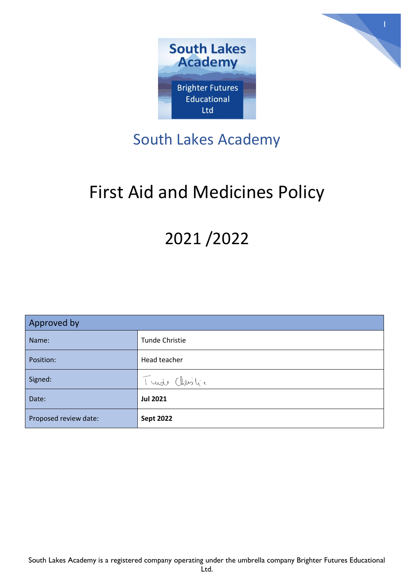



# South Lakes Academy

# First Aid and Medicines Policy

# 2021 /2022

| Approved by           |                       |
|-----------------------|-----------------------|
| Name:                 | <b>Tunde Christie</b> |
| Position:             | Head teacher          |
| Signed:               | Turde Christic        |
| Date:                 | <b>Jul 2021</b>       |
| Proposed review date: | <b>Sept 2022</b>      |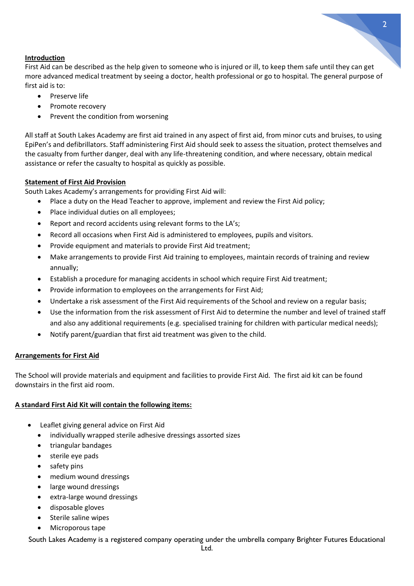#### **Introduction**

First Aid can be described as the help given to someone who is injured or ill, to keep them safe until they can get more advanced medical treatment by seeing a doctor, health professional or go to hospital. The general purpose of first aid is to:

2

- Preserve life
- Promote recovery
- Prevent the condition from worsening

All staff at South Lakes Academy are first aid trained in any aspect of first aid, from minor cuts and bruises, to using EpiPen's and defibrillators. Staff administering First Aid should seek to assess the situation, protect themselves and the casualty from further danger, deal with any life-threatening condition, and where necessary, obtain medical assistance or refer the casualty to hospital as quickly as possible.

#### **Statement of First Aid Provision**

South Lakes Academy's arrangements for providing First Aid will:

- Place a duty on the Head Teacher to approve, implement and review the First Aid policy;
- Place individual duties on all employees;
- Report and record accidents using relevant forms to the LA's;
- Record all occasions when First Aid is administered to employees, pupils and visitors.
- Provide equipment and materials to provide First Aid treatment;
- Make arrangements to provide First Aid training to employees, maintain records of training and review annually;
- Establish a procedure for managing accidents in school which require First Aid treatment;
- Provide information to employees on the arrangements for First Aid;
- Undertake a risk assessment of the First Aid requirements of the School and review on a regular basis;
- Use the information from the risk assessment of First Aid to determine the number and level of trained staff and also any additional requirements (e.g. specialised training for children with particular medical needs);
- Notify parent/guardian that first aid treatment was given to the child.

#### **Arrangements for First Aid**

The School will provide materials and equipment and facilities to provide First Aid. The first aid kit can be found downstairs in the first aid room.

#### **A standard First Aid Kit will contain the following items:**

- Leaflet giving general advice on First Aid
	- individually wrapped sterile adhesive dressings assorted sizes
	- triangular bandages
	- sterile eye pads
	- safety pins
	- medium wound dressings
	- large wound dressings
	- extra-large wound dressings
	- disposable gloves
	- Sterile saline wipes
	- Microporous tape

South Lakes Academy is a registered company operating under the umbrella company Brighter Futures Educational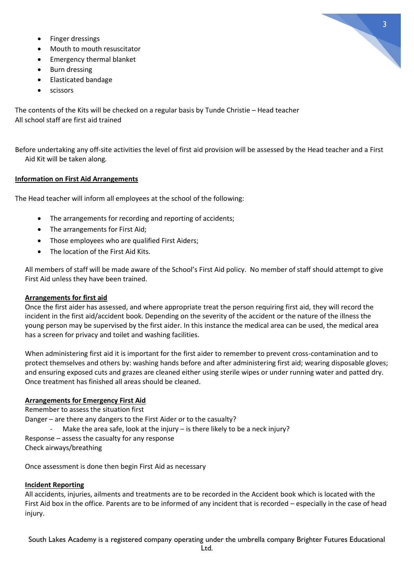- Finger dressings
- Mouth to mouth resuscitator
- Emergency thermal blanket
- Burn dressing
- Elasticated bandage
- scissors

The contents of the Kits will be checked on a regular basis by Tunde Christie – Head teacher All school staff are first aid trained

Before undertaking any off-site activities the level of first aid provision will be assessed by the Head teacher and a First Aid Kit will be taken along*.*

# **Information on First Aid Arrangements**

The Head teacher will inform all employees at the school of the following:

- The arrangements for recording and reporting of accidents;
- The arrangements for First Aid;
- Those employees who are qualified First Aiders;
- The location of the First Aid Kits.

All members of staff will be made aware of the School's First Aid policy. No member of staff should attempt to give First Aid unless they have been trained.

# **Arrangements for first aid**

Once the first aider has assessed, and where appropriate treat the person requiring first aid, they will record the incident in the first aid/accident book. Depending on the severity of the accident or the nature of the illness the young person may be supervised by the first aider. In this instance the medical area can be used, the medical area has a screen for privacy and toilet and washing facilities.

When administering first aid it is important for the first aider to remember to prevent cross-contamination and to protect themselves and others by: washing hands before and after administering first aid; wearing disposable gloves; and ensuring exposed cuts and grazes are cleaned either using sterile wipes or under running water and patted dry. Once treatment has finished all areas should be cleaned.

# **Arrangements for Emergency First Aid**

Remember to assess the situation first Danger – are there any dangers to the First Aider or to the casualty? Make the area safe, look at the injury  $-$  is there likely to be a neck injury? Response – assess the casualty for any response Check airways/breathing

Once assessment is done then begin First Aid as necessary

# **Incident Reporting**

All accidents, injuries, ailments and treatments are to be recorded in the Accident book which is located with the First Aid box in the office. Parents are to be informed of any incident that is recorded – especially in the case of head injury.

South Lakes Academy is a registered company operating under the umbrella company Brighter Futures Educational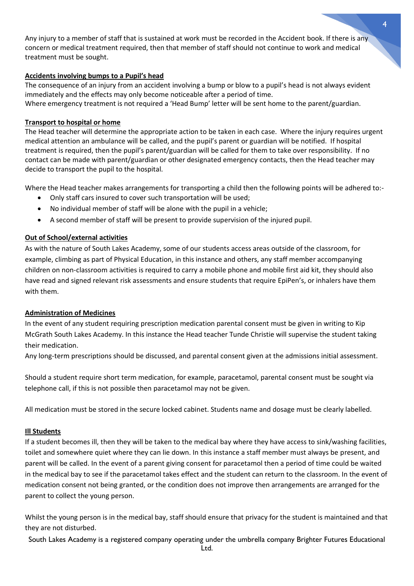Any injury to a member of staff that is sustained at work must be recorded in the Accident book. If there is any concern or medical treatment required, then that member of staff should not continue to work and medical treatment must be sought.

### **Accidents involving bumps to a Pupil's head**

The consequence of an injury from an accident involving a bump or blow to a pupil's head is not always evident immediately and the effects may only become noticeable after a period of time. Where emergency treatment is not required a 'Head Bump' letter will be sent home to the parent/guardian.

#### **Transport to hospital or home**

The Head teacher will determine the appropriate action to be taken in each case. Where the injury requires urgent medical attention an ambulance will be called, and the pupil's parent or guardian will be notified. If hospital treatment is required, then the pupil's parent/guardian will be called for them to take over responsibility. If no contact can be made with parent/guardian or other designated emergency contacts, then the Head teacher may decide to transport the pupil to the hospital.

Where the Head teacher makes arrangements for transporting a child then the following points will be adhered to:-

- Only staff cars insured to cover such transportation will be used;
- No individual member of staff will be alone with the pupil in a vehicle;
- A second member of staff will be present to provide supervision of the injured pupil.

#### **Out of School/external activities**

As with the nature of South Lakes Academy, some of our students access areas outside of the classroom, for example, climbing as part of Physical Education, in this instance and others, any staff member accompanying children on non-classroom activities is required to carry a mobile phone and mobile first aid kit, they should also have read and signed relevant risk assessments and ensure students that require EpiPen's, or inhalers have them with them.

#### **Administration of Medicines**

In the event of any student requiring prescription medication parental consent must be given in writing to Kip McGrath South Lakes Academy. In this instance the Head teacher Tunde Christie will supervise the student taking their medication.

Any long-term prescriptions should be discussed, and parental consent given at the admissions initial assessment.

Should a student require short term medication, for example, paracetamol, parental consent must be sought via telephone call, if this is not possible then paracetamol may not be given.

All medication must be stored in the secure locked cabinet. Students name and dosage must be clearly labelled.

#### **Ill Students**

If a student becomes ill, then they will be taken to the medical bay where they have access to sink/washing facilities, toilet and somewhere quiet where they can lie down. In this instance a staff member must always be present, and parent will be called. In the event of a parent giving consent for paracetamol then a period of time could be waited in the medical bay to see if the paracetamol takes effect and the student can return to the classroom. In the event of medication consent not being granted, or the condition does not improve then arrangements are arranged for the parent to collect the young person.

Whilst the young person is in the medical bay, staff should ensure that privacy for the student is maintained and that they are not disturbed.

South Lakes Academy is a registered company operating under the umbrella company Brighter Futures Educational Ltd.

4